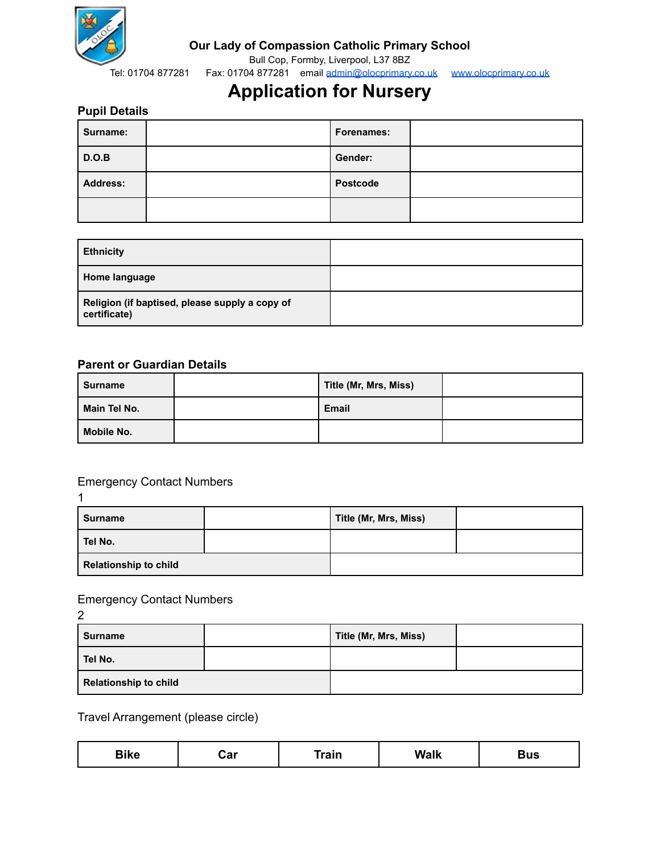

### **Our Lady of Compassion Catholic Primary School**

Bull Cop, Formby, Liverpool, L37 8BZ

Tel: 01704 877281 Fax: 01704 877281 email [admin@olocprimary.co.uk](mailto:admin@olocprimary.co.uk) [www.olocprimary.co.uk](http://www.olocprimary.co.uk)

# **Application for Nursery**

### **Pupil Details**

| Surname:        | Forenames:      |  |
|-----------------|-----------------|--|
| D.O.B           | Gender:         |  |
| <b>Address:</b> | <b>Postcode</b> |  |
|                 |                 |  |

| <b>Ethnicity</b>                                               |  |
|----------------------------------------------------------------|--|
| Home language                                                  |  |
| Religion (if baptised, please supply a copy of<br>certificate) |  |

#### **Parent or Guardian Details**

| Surname      | Title (Mr, Mrs, Miss) |  |
|--------------|-----------------------|--|
| Main Tel No. | <b>Email</b>          |  |
| Mobile No.   |                       |  |

# Emergency Contact Numbers

1

| Surname                      |  | Title (Mr, Mrs, Miss) |  |
|------------------------------|--|-----------------------|--|
| Tel No.                      |  |                       |  |
| <b>Relationship to child</b> |  |                       |  |

### Emergency Contact Numbers

| $\overline{2}$               |  |                       |  |  |
|------------------------------|--|-----------------------|--|--|
| <b>Surname</b>               |  | Title (Mr, Mrs, Miss) |  |  |
| Tel No.                      |  |                       |  |  |
| <b>Relationship to child</b> |  |                       |  |  |

Travel Arrangement (please circle)

| $- \cdots -$<br>___<br>$ -$ |  |
|-----------------------------|--|
|-----------------------------|--|